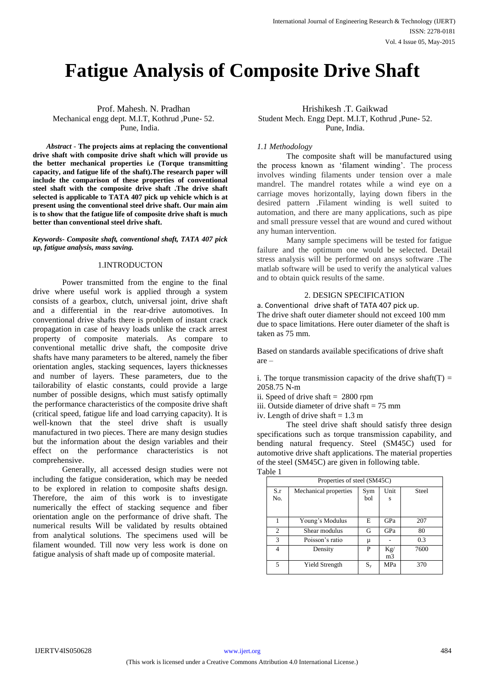# **Fatigue Analysis of Composite Drive Shaft**

 *Abstract* - **The projects aims at replacing the conventional drive shaft with composite drive shaft which will provide us the better mechanical properties i.e (Torque transmitting capacity, and fatigue life of the shaft).The research paper will include the comparison of these properties of conventional steel shaft with the composite drive shaft .The drive shaft selected is applicable to TATA 407 pick up vehicle which is at present using the conventional steel drive shaft. Our main aim is to show that the fatigue life of composite drive shaft is much better than conventional steel drive shaft.**

*Keywords- Composite shaft, conventional shaft, TATA 407 pick up, fatigue analysis, mass saving.*

# 1.INTRODUCTON

Power transmitted from the engine to the final drive where useful work is applied through a system consists of a gearbox, clutch, universal joint, drive shaft and a differential in the rear-drive automotives. In conventional drive shafts there is problem of instant crack propagation in case of heavy loads unlike the crack arrest property of composite materials. As compare to conventional metallic drive shaft, the composite drive shafts have many parameters to be altered, namely the fiber orientation angles, stacking sequences, layers thicknesses and number of layers. These parameters, due to the tailorability of elastic constants, could provide a large number of possible designs, which must satisfy optimally the performance characteristics of the composite drive shaft (critical speed, fatigue life and load carrying capacity). It is well-known that the steel drive shaft is usually manufactured in two pieces. There are many design studies but the information about the design variables and their effect on the performance characteristics is not comprehensive.

Generally, all accessed design studies were not including the fatigue consideration, which may be needed to be explored in relation to composite shafts design. Therefore, the aim of this work is to investigate numerically the effect of stacking sequence and fiber orientation angle on the performance of drive shaft. The numerical results Will be validated by results obtained from analytical solutions. The specimens used will be filament wounded. Till now very less work is done on fatigue analysis of shaft made up of composite material.

Prof. Mahesh. N. Pradhan **Hrishikesh .T. Gaikwad** Mechanical engg dept. M.I.T, Kothrud ,Pune- 52. Student Mech. Engg Dept. M.I.T, Kothrud ,Pune- 52. Pune, India. Pune, India.

# *1.1 Methodology*

The composite shaft will be manufactured using the process known as "filament winding". The process involves winding filaments under tension over a male mandrel. The mandrel rotates while a wind eye on a carriage moves horizontally, laying down fibers in the desired pattern .Filament winding is well suited to automation, and there are many applications, such as pipe and small pressure vessel that are wound and cured without any human intervention.

Many sample specimens will be tested for fatigue failure and the optimum one would be selected. Detail stress analysis will be performed on ansys software .The matlab software will be used to verify the analytical values and to obtain quick results of the same.

# 2. DESIGN SPECIFICATION

a. Conventional drive shaft of TATA 407 pick up. The drive shaft outer diameter should not exceed 100 mm due to space limitations. Here outer diameter of the shaft is taken as 75 mm.

Based on standards available specifications of drive shaft are –

i. The torque transmission capacity of the drive shaft(T) = 2058.75 N-m

- ii. Speed of drive shaft = 2800 rpm
- iii. Outside diameter of drive shaft  $= 75$  mm
- iv. Length of drive shaft  $= 1.3$  m

The steel drive shaft should satisfy three design specifications such as torque transmission capability, and bending natural frequency. Steel (SM45C) used for automotive drive shaft applications. The material properties of the steel (SM45C) are given in following table. Table 1

| uvie 1         | Properties of steel (SM45C) |            |                       |              |
|----------------|-----------------------------|------------|-----------------------|--------------|
| S.r<br>No.     | Mechanical properties       | Sym<br>bol | Unit<br>S             | <b>Steel</b> |
|                | Young's Modulus             | E          | GPa                   | 207          |
| $\overline{c}$ | Shear modulus               | G          | GPa                   | 80           |
| 3              | Poisson's ratio             | μ          |                       | 0.3          |
| 4              | Density                     | P          | Kg/<br>m <sub>3</sub> | 7600         |
| 5              | Yield Strength              | $S_{v}$    | <b>MPa</b>            | 370          |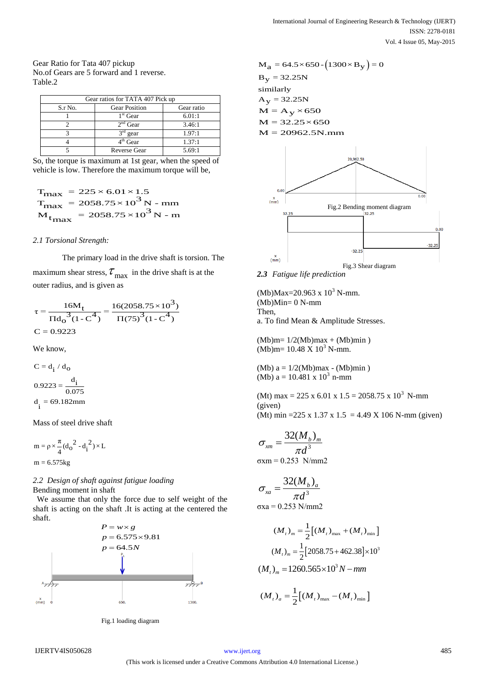Gear Ratio for Tata 407 pickup No.of Gears are 5 forward and 1 reverse. Table.2

| Gear ratios for TATA 407 Pick up |                      |            |  |  |
|----------------------------------|----------------------|------------|--|--|
| S.r No.                          | <b>Gear Position</b> | Gear ratio |  |  |
|                                  | $1st$ Gear           | 6.01:1     |  |  |
|                                  | $2nd$ Gear           | 3.46:1     |  |  |
|                                  | $3rd$ gear           | 1.97:1     |  |  |
|                                  | $4th$ Gear           | 1.37:1     |  |  |
|                                  | <b>Reverse Gear</b>  | 5.69:1     |  |  |

So, the torque is maximum at 1st gear, when the speed of vehicle is low. Therefore the maximum torque will be,

$$
T_{\text{max}} = 225 \times 6.01 \times 1.5
$$
  
\n
$$
T_{\text{max}} = 2058.75 \times 10^3 \text{ N} - \text{mm}
$$
  
\n
$$
M_{\text{tmax}} = 2058.75 \times 10^3 \text{ N} - \text{m}
$$

# *2.1 Torsional Strength:*

The primary load in the drive shaft is torsion. The maximum shear stress,  $\tau_{\text{max}}$  in the drive shaft is at the outer radius, and is given as

$$
\tau = \frac{16M_t}{\Pi d_0^3 (1 - C^4)} = \frac{16(2058.75 \times 10^3)}{\Pi (75)^3 (1 - C^4)}
$$
  
C = 0.9223

We know,

 $C = d_i / d_o$ d  $0.9223 = \frac{1}{0.075}$  $d_i = 69.182$ mm

Mass of steel drive shaft

$$
m = \rho \times \frac{\pi}{4} (d_O^2 - d_i^2) \times L
$$
  

$$
m = 6.575kg
$$

# *2.2 Design of shaft against fatigue loading* Bending moment in shaft

 We assume that only the force due to self weight of the shaft is acting on the shaft .It is acting at the centered the shaft.



Fig.1 loading diagram



*2.3 Fatigue life prediction*

 $(Mb)Max=20.963 \times 10^3$  N-mm.  $(Mb)Min=0 N-mm$ Then, a. To find Mean & Amplitude Stresses.

 $(Mb)$ m=  $1/2(Mb)$ max +  $(Mb)$ min)  $(Mb)$ m= 10.48 X 10<sup>3</sup> N-mm.

(Mb)  $a = 1/2$ (Mb) $max$  - (Mb) $min$ ) (Mb)  $a = 10.481 \times 10^3$  n-mm

(Mt) max = 225 x 6.01 x 1.5 = 2058.75 x 10<sup>3</sup> N-mm (given) (Mt) min = 225 x 1.37 x 1.5 = 4.49 X 106 N-mm (given)

$$
\sigma_{xm} = \frac{32(M_b)_m}{\pi d^3}
$$
  
oxm = 0.253 N/mm2

$$
\sigma_{xa} = \frac{32(M_b)_a}{\pi d^3}
$$

$$
\sigma xa = 0.253 \text{ N/mm2}
$$

$$
(M_t)_{m} = \frac{1}{2} [(M_t)_{\text{max}} + (M_t)_{\text{min}}]
$$

$$
(M_t)_{m} = \frac{1}{2} [2058.75 + 462.38] \times 10^3
$$

$$
(M_t)_{m} = 1260.565 \times 10^3 N - mm
$$

$$
(M_t)_a = \frac{1}{2} [(M_t)_{\text{max}} - (M_t)_{\text{min}}]
$$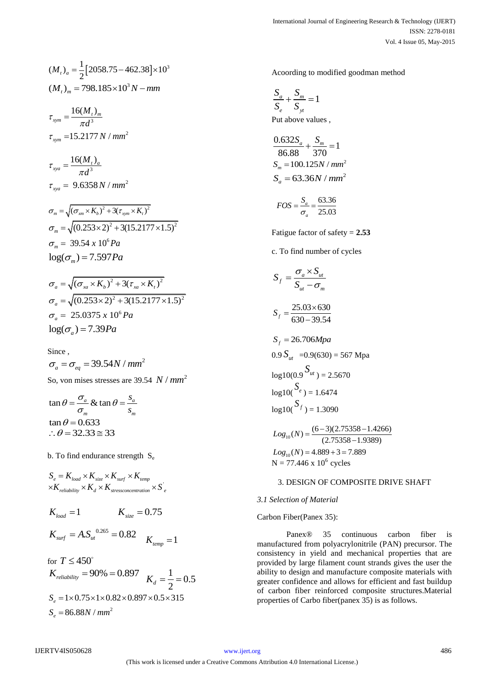$$
(Mt)a = \frac{1}{2} [2058.75 - 462.38] \times 103
$$
  

$$
(Mt)m = 798.185 \times 103 N - mm
$$

 $\sum_{xym} = \frac{16(M_t)_{m}}{7^3}$  $\tau_{xym} = 15.2177 N / mm^2$ *M*  $\tau_{xym} = \frac{1}{\pi d}$  $=\frac{10(1)}{\pi}$  $\tau_{xyz} = 9.6358 N / mm^2$ 3  $t_{xyz} = \frac{16(M_t)_a}{1.6}$ *M*  $\tau_{xyz} = \frac{\tau_{xd}}{\pi d}$  $=\frac{10(1)}{\pi}$ 

$$
\sigma_m = \sqrt{(\sigma_{xm} \times K_b)^2 + 3(\tau_{sym} \times K_t)^2}
$$
  
\n
$$
\sigma_m = \sqrt{(0.253 \times 2)^2 + 3(15.2177 \times 1.5)^2}
$$
  
\n
$$
\sigma_m = 39.54 \times 10^6 Pa
$$
  
\n
$$
\log(\sigma_m) = 7.597 Pa
$$

$$
\sigma_a = \sqrt{(\sigma_{xa} \times K_b)^2 + 3(\tau_{xa} \times K_t)^2}
$$
  
\n
$$
\sigma_a = \sqrt{(0.253 \times 2)^2 + 3(15.2177 \times 1.5)^2}
$$
  
\n
$$
\sigma_a = 25.0375 \times 10^6 Pa
$$
  
\n
$$
\log(\sigma_a) = 7.39 Pa
$$

Since ,

$$
\sigma_a = \sigma_{eq} = 39.54N / mm^2
$$
  
So, von mises stresses are 39.54 *N* / mm<sup>2</sup>

$$
\tan \theta = \frac{\sigma_a}{\sigma_m} & \tan \theta = \frac{s_a}{s_m}
$$
\n
$$
\tan \theta = 0.633
$$
\n
$$
\therefore \theta = 32.33 \approx 33
$$

b. To find endurance strength  $S_e$ 

$$
S_e = K_{load} \times K_{size} \times K_{surf} \times K_{temp}
$$
  
 
$$
\times K_{reliability} \times K_d \times K_{stress concentration} \times S^{'}
$$

$$
K_{load} = 1
$$
  $K_{size} = 0.75$   
 $K_{surf} = A.S_{ut}^{0.265} = 0.82$   $K_{temp} = 1$ 

for  $T \leq 450^{\circ}$  $K_{reliability} = 90\% = 0.897$   $K_{d} = \frac{1}{2} = 0.5$  $K_d = \frac{1}{2} = 0$ 2  $S_e = 1 \times 0.75 \times 1 \times 0.82 \times 0.897 \times 0.5 \times 315$  $S_e = 1 \times 0.75 \times 1 \times 0$ <br> $S_e = 86.88 N / mm^2$ 

Acoording to modified goodman method

$$
\frac{S_a}{S_e} + \frac{S_m}{S_{yt}} = 1
$$
  
Put above values,

$$
\frac{0.632S_a}{86.88} + \frac{S_m}{370} = 1
$$
  
\n
$$
S_m = 100.125N / mm^2
$$
  
\n
$$
S_a = 63.36N / mm^2
$$

$$
FOS = \frac{S_a}{\sigma_a} = \frac{63.36}{25.03}
$$

Fatigue factor of safety = **2.53**

c. To find number of cycles

$$
S_{f} = \frac{\sigma_{a} \times S_{ut}}{S_{ut} - \sigma_{m}}
$$
  
\n
$$
S_{f} = \frac{25.03 \times 630}{630 - 39.54}
$$
  
\n
$$
S_{f} = 26.706 Mpa
$$
  
\n
$$
0.9 S_{ut} = 0.9(630) = 567 Mpa
$$
  
\n
$$
log10(0.9 \frac{S_{ut}}{s}) = 2.5670
$$
  
\n
$$
log10(\frac{S_{e}}{s}) = 1.6474
$$
  
\n
$$
log10(\frac{S_{f}}{s}) = 1.3090
$$

 $Log_{10}(N) = \frac{(6-3)(2.75358 - 1.4266)}{(2.75358 - 1.9389)}$  $Log_{10}(N) = 4.889 + 3 = 7.889$  $N = 77.446 \times 10^6$  cycles

# 3. DESIGN OF COMPOSITE DRIVE SHAFT

# *3.1 Selection of Material*

Carbon Fiber(Panex 35):

Panex® 35 continuous carbon fiber is manufactured from polyacrylonitrile (PAN) precursor. The consistency in yield and mechanical properties that are provided by large filament count strands gives the user the ability to design and manufacture composite materials with greater confidence and allows for efficient and fast buildup of carbon fiber reinforced composite structures.Material properties of Carbo fiber(panex 35) is as follows.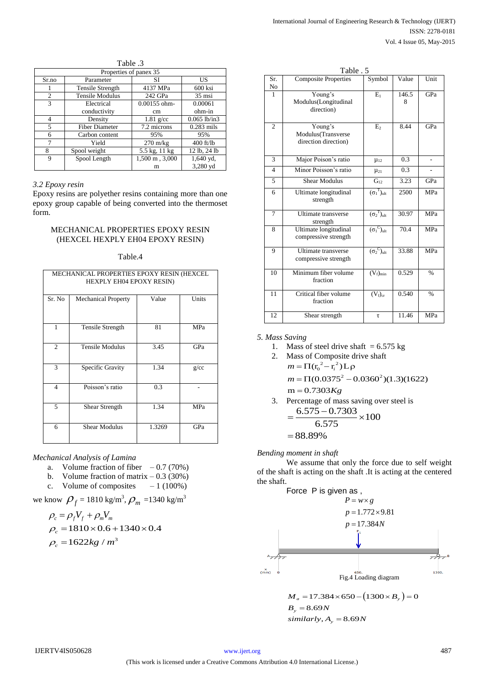| 1. uviv                |                         |                    |                 |
|------------------------|-------------------------|--------------------|-----------------|
| Properties of panex 35 |                         |                    |                 |
| Sr.no                  | Parameter               | SI                 | US              |
|                        | <b>Tensile Strength</b> | 4137 MPa           | 600 ksi         |
| $\overline{c}$         | <b>Tensile Modulus</b>  | 242 GPa            | $35 \text{ ms}$ |
| 3                      | Electrical              | $0.00155$ ohm-     | 0.00061         |
|                        | conductivity            | cm                 | ohm-in          |
| 4                      | Density                 | $1.81$ g/cc        | $0.065$ lb/in3  |
| 5                      | <b>Fiber Diameter</b>   | 7.2 microns        | $0.283$ mils    |
| 6                      | Carbon content          | 95%                | 95%             |
| 7                      | Yield                   | $270 \text{ m/kg}$ | $400$ ft/lb     |
| 8                      | Spool weight            | 5.5 kg, 11 kg      | 12 lb, 24 lb    |
| 9                      | Spool Length            | 1,500 m, 3,000     | 1,640 yd,       |
|                        |                         | m                  | 3,280 yd        |

Table 3

#### *3.2 Epoxy resin*

Epoxy resins are polyether resins containing more than one epoxy group capable of being converted into the thermoset form.

# MECHANICAL PROPERTIES EPOXY RESIN (HEXCEL HEXPLY EH04 EPOXY RESIN)

#### Table.4

| MECHANICAL PROPERTIES EPOXY RESIN (HEXCEL<br><b>HEXPLY EH04 EPOXY RESIN)</b> |                            |        |            |
|------------------------------------------------------------------------------|----------------------------|--------|------------|
| Sr. No                                                                       | <b>Mechanical Property</b> | Value  | Units      |
| 1                                                                            | <b>Tensile Strength</b>    | 81     | <b>MPa</b> |
| $\mathfrak{2}$                                                               | <b>Tensile Modulus</b>     | 3.45   | GPa        |
| 3                                                                            | Specific Gravity           | 1.34   | g/cc       |
| 4                                                                            | Poisson's ratio            | 0.3    |            |
| 5                                                                            | Shear Strength             | 1.34   | <b>MPa</b> |
| 6                                                                            | <b>Shear Modulus</b>       | 1.3269 | GPa        |

*Mechanical Analysis of Lamina*

- a. Volume fraction of fiber  $-0.7$  (70%)
- b. Volume fraction of matrix  $-0.3$  (30%)
- c. Volume of composites  $-1$  (100%)

we know  $\rho_f = 1810 \text{ kg/m}^3$ ,  $\rho_m = 1340 \text{ kg/m}^3$ 

$$
\rho_c = \rho_f V_f + \rho_m V_m
$$
  
\n
$$
\rho_c = 1810 \times 0.6 + 1340 \times 0.4
$$
  
\n
$$
\rho_c = 1622 kg / m^3
$$

|                | Table . 5                                             |                                      |            |               |
|----------------|-------------------------------------------------------|--------------------------------------|------------|---------------|
| Sr.<br>No      | <b>Composite Properties</b>                           | Symbol                               | Value      | Unit          |
| 1              | Young's<br>Modulus(Longitudinal<br>direction)         | $E_1$                                | 146.5<br>8 | GPa           |
| $\overline{c}$ | Young's<br>Modulus(Transverse<br>direction direction) | $E_{2}$                              | 8.44       | GPa           |
| 3              | Major Poison's ratio                                  | $\mu_{12}$                           | 0.3        |               |
| $\overline{4}$ | Minor Poisson's ratio                                 | $\mu_{21}$                           | 0.3        |               |
| 5              | <b>Shear Modulus</b>                                  | $G_{12}$                             | 3.23       | GPa           |
| 6              | Ultimate longitudinal<br>strength                     | $(\sigma_1^T)_{ult}$                 | 2500       | <b>MPa</b>    |
| 7              | <b>Ultimate transverse</b><br>strength                | $(\sigma_2^T)_{ult}$                 | 30.97      | <b>MPa</b>    |
| 8              | Ultimate longitudinal<br>compressive strength         | $(\sigma_1^{\ C})_{ult}$             | 70.4       | <b>MPa</b>    |
| 9              | <b>Ultimate</b> transverse<br>compressive strength    | $(\sigma_2^{\text{C}})_{\text{ult}}$ | 33.88      | MPa           |
| 10             | Minimum fiber volume<br>fraction                      | $(V_f)_{\min}$                       | 0.529      | $\%$          |
| 11             | Critical fiber volume<br>fraction                     | $(V_f)_{cr}$                         | 0.540      | $\frac{0}{6}$ |
| 12             | Shear strength                                        | τ                                    | 11.46      | MPa           |

#### *5. Mass Saving*

1. Mass of steel drive shaft =  $6.575$  kg

1. Mass of steel drive shaft = 6.5<br>2. Mass of Composite drive shaft<br> $m = \Pi(r_0^2 - r_i^2) L \rho$  $m = \prod (r_0^2 - r_i)$  $(r_0^2 - r_i^2)L\rho$ <br>(0.0375<sup>2</sup> – 0.0360<sup>2</sup>)(1.3)(1622)  $m = \Pi(r_0^2 - r_i^2)L\rho$ <br>  $m = \Pi(0.0375^2 - 0.036$ <br>  $m = 0.7303Kg$  $= 0.7303Kg$ 

3. Percentage of mass saving over steel is  
= 
$$
\frac{6.575 - 0.7303}{5.555} \times 100
$$

$$
=\frac{6.575 - 0.7303}{6.575} \times 100
$$
  
= 88.89%

*Bending moment in shaft* 

We assume that only the force due to self weight of the shaft is acting on the shaft .It is acting at the centered the shaft.



$$
M_a = 17.384 \times 650 - (1300 \times B_y) = 0
$$
  
\n
$$
B_y = 8.69N
$$
  
\nsimilarly,  $A_y = 8.69N$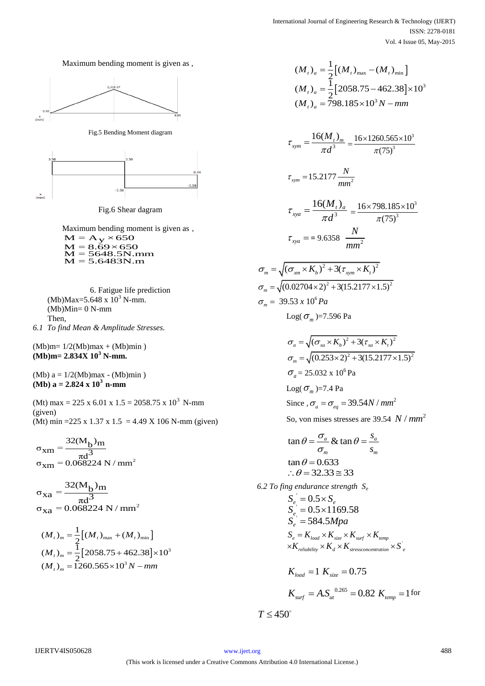



Fig.5 Bending Moment diagram



Fig.6 Shear dagram

Maximum bending moment is given as , Maximum bending mo<br> $M = A_y \times 650$  $M = A_y \times 650$ <br> $M = 8.69 \times 650$  $M = 5648.5N$ .mm  $M = 5.6483N.m$ 

6. Fatigue life prediction  $(Mb)Max=5.648 \times 10^3$  N-mm.  $(Mb)Min = 0 N-mm$ Then, *6.1 To find Mean & Amplitude Stresses.* 

 $(Mb)$ m=  $1/2(Mb)$ max +  $(Mb)$ min) **(Mb)m= 2.834X 10<sup>3</sup> N-mm.** 

(Mb)  $a = 1/2$ (Mb) max - (Mb) min ) **(Mb) a = 2.824 x 10<sup>3</sup>n-mm**

(Mt) max = 225 x 6.01 x 1.5 = 2058.75 x 10<sup>3</sup> N-mm (given) (Mt) min = 225 x 1.37 x 1.5 = 4.49 X 106 N-mm (given)

2  $32(M_b)_{m}$  $\sigma_{\text{X}m} = \frac{32(M_{\text{b}})_{\text{m}}}{\pi d^3}$ <br> $\sigma_{\text{X}m} = 0.068224 \text{ N/mm}$ 

2  $32(M_b)$ m  $\sigma_{\text{xa}} = \frac{32(M_{\text{b}})_{\text{m}}}{\pi d^3}$ <br> $\sigma_{\text{xa}} = 0.068224 \text{ N/mm}$ 

$$
(M_t)_{m} = \frac{1}{2} [(M_t)_{\text{max}} + (M_t)_{\text{min}}]
$$
  

$$
(M_t)_{m} = \frac{1}{2} [2058.75 + 462.38] \times 10^3
$$
  

$$
(M_t)_{m} = 1260.565 \times 10^3 N - mm
$$

$$
(M_t)_{a} = \frac{1}{2} [(M_t)_{\text{max}} - (M_t)_{\text{min}}]
$$
  

$$
(M_t)_{a} = \frac{1}{2} [2058.75 - 462.38] \times 10^3
$$
  

$$
(M_t)_{a} = 798.185 \times 10^3 N - mm
$$

$$
\tau_{xym} = \frac{16(M_t)_{m}}{\pi d^3} = \frac{16 \times 1260.565 \times 10^3}{\pi (75)^3}
$$
\n
$$
\tau_{xym} = 15.2177 \frac{N}{mm^2}
$$
\n
$$
\tau_{xya} = \frac{16(M_t)_{a}}{\pi d^3} = \frac{16 \times 798.185 \times 10^3}{\pi (75)^3}
$$
\n
$$
\tau_{xya} = 9.6358 \frac{N}{mm^2}
$$
\n
$$
\sigma_m = \sqrt{(\sigma_{xm} \times K_b)^2 + 3(\tau_{xym} \times K_t)^2}
$$
\n
$$
\sigma_m = \sqrt{(0.02704 \times 2)^2 + 3(15.2177 \times 1.5)^2}
$$
\n
$$
\sigma_m = 39.53 \times 10^6 Pa
$$
\n
$$
\text{Log}(\sigma_m) = 7.596 Pa
$$
\n
$$
\sigma_a = \sqrt{(\sigma_{xa} \times K_b)^2 + 3(\tau_{xa} \times K_t)^2}
$$
\n
$$
\sigma_m = \sqrt{(0.253 \times 2)^2 + 3(15.2177 \times 1.5)^2}
$$
\n
$$
\sigma_a = 25.032 \times 10^6 Pa
$$
\n
$$
\text{Log}(\sigma_m) = 7.4 Pa
$$
\n
$$
\text{Since}, \sigma_a = \sigma_{eq} = 39.54 N / mm^2
$$
\nSo, von miss stresses are 39.54 N / mm<sup>2</sup>

$$
\tan \theta = \frac{\sigma_a}{\sigma_m} & \tan \theta = \frac{s_a}{s_m}
$$
\n
$$
\tan \theta = 0.633
$$
\n
$$
\therefore \theta = 32.33 \approx 33
$$

*6.2 To fing endurance strength S<sup>e</sup>* ' ' ' 0.5  $0.5 \times 1169.58$ 584.5  $_{e_i} = 0.3 \times S_{e_i}$ *e e*  $S_e^{\dagger} = 0.5 \times S$ *S*  $S_e^{\text{S}} = 584.5 Mpa$  $= 0.5 \times S$  $= 0.5 \times 1$  $=$  $S_e = K_{load} \times K_{size} \times K_{surf} \times K_{temp}$ <br> $\times K_{reliability} \times K_d \times K_{stressconcentration} \times S_e$  $S_e = 384.3$ *NHpa*<br> $S_e = K_{load} \times K_{size} \times K_{surf} \times K_{temp}$ 

$$
K_{load} = 1 K_{size} = 0.75
$$
  

$$
K_{surf} = A.S_{ut}^{0.265} = 0.82 K_{temp} = 1 \text{ for}
$$

 $T \leq 450^{\circ}$ 

 $\sigma_{\rm m}$  $\sigma_{\rm m}$